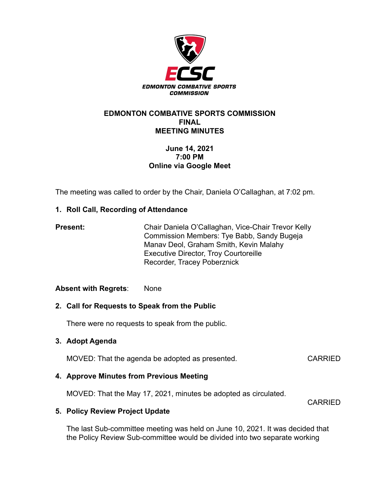

#### **EDMONTON COMBATIVE SPORTS COMMISSION FINAL MEETING MINUTES**

# **June 14, 2021 7:00 PM Online via Google Meet**

The meeting was called to order by the Chair, Daniela O'Callaghan, at 7:02 pm.

# **1. Roll Call, Recording of Attendance**

| <b>Present:</b> | Chair Daniela O'Callaghan, Vice-Chair Trevor Kelly |
|-----------------|----------------------------------------------------|
|                 | Commission Members: Tye Babb, Sandy Bugeja         |
|                 | Manav Deol, Graham Smith, Kevin Malahy             |
|                 | <b>Executive Director, Troy Courtoreille</b>       |
|                 | Recorder, Tracey Poberznick                        |

## **Absent with Regrets**: None

## **2. Call for Requests to Speak from the Public**

There were no requests to speak from the public.

## **3. Adopt Agenda**

MOVED: That the agenda be adopted as presented. CARRIED

## **4. Approve Minutes from Previous Meeting**

MOVED: That the May 17, 2021, minutes be adopted as circulated.

CARRIED

## **5. Policy Review Project Update**

The last Sub-committee meeting was held on June 10, 2021. It was decided that the Policy Review Sub-committee would be divided into two separate working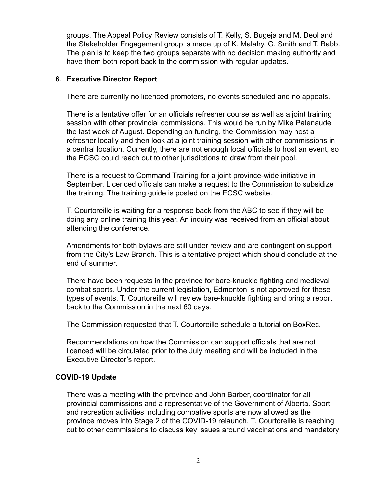groups. The Appeal Policy Review consists of T. Kelly, S. Bugeja and M. Deol and the Stakeholder Engagement group is made up of K. Malahy, G. Smith and T. Babb. The plan is to keep the two groups separate with no decision making authority and have them both report back to the commission with regular updates.

#### **6. Executive Director Report**

There are currently no licenced promoters, no events scheduled and no appeals.

There is a tentative offer for an officials refresher course as well as a joint training session with other provincial commissions. This would be run by Mike Patenaude the last week of August. Depending on funding, the Commission may host a refresher locally and then look at a joint training session with other commissions in a central location. Currently, there are not enough local officials to host an event, so the ECSC could reach out to other jurisdictions to draw from their pool.

There is a request to Command Training for a joint province-wide initiative in September. Licenced officials can make a request to the Commission to subsidize the training. The training guide is posted on the ECSC website.

T. Courtoreille is waiting for a response back from the ABC to see if they will be doing any online training this year. An inquiry was received from an official about attending the conference.

Amendments for both bylaws are still under review and are contingent on support from the City's Law Branch. This is a tentative project which should conclude at the end of summer.

There have been requests in the province for bare-knuckle fighting and medieval combat sports. Under the current legislation, Edmonton is not approved for these types of events. T. Courtoreille will review bare-knuckle fighting and bring a report back to the Commission in the next 60 days.

The Commission requested that T. Courtoreille schedule a tutorial on BoxRec.

Recommendations on how the Commission can support officials that are not licenced will be circulated prior to the July meeting and will be included in the Executive Director's report.

## **COVID-19 Update**

There was a meeting with the province and John Barber, coordinator for all provincial commissions and a representative of the Government of Alberta. Sport and recreation activities including combative sports are now allowed as the province moves into Stage 2 of the COVID-19 relaunch. T. Courtoreille is reaching out to other commissions to discuss key issues around vaccinations and mandatory